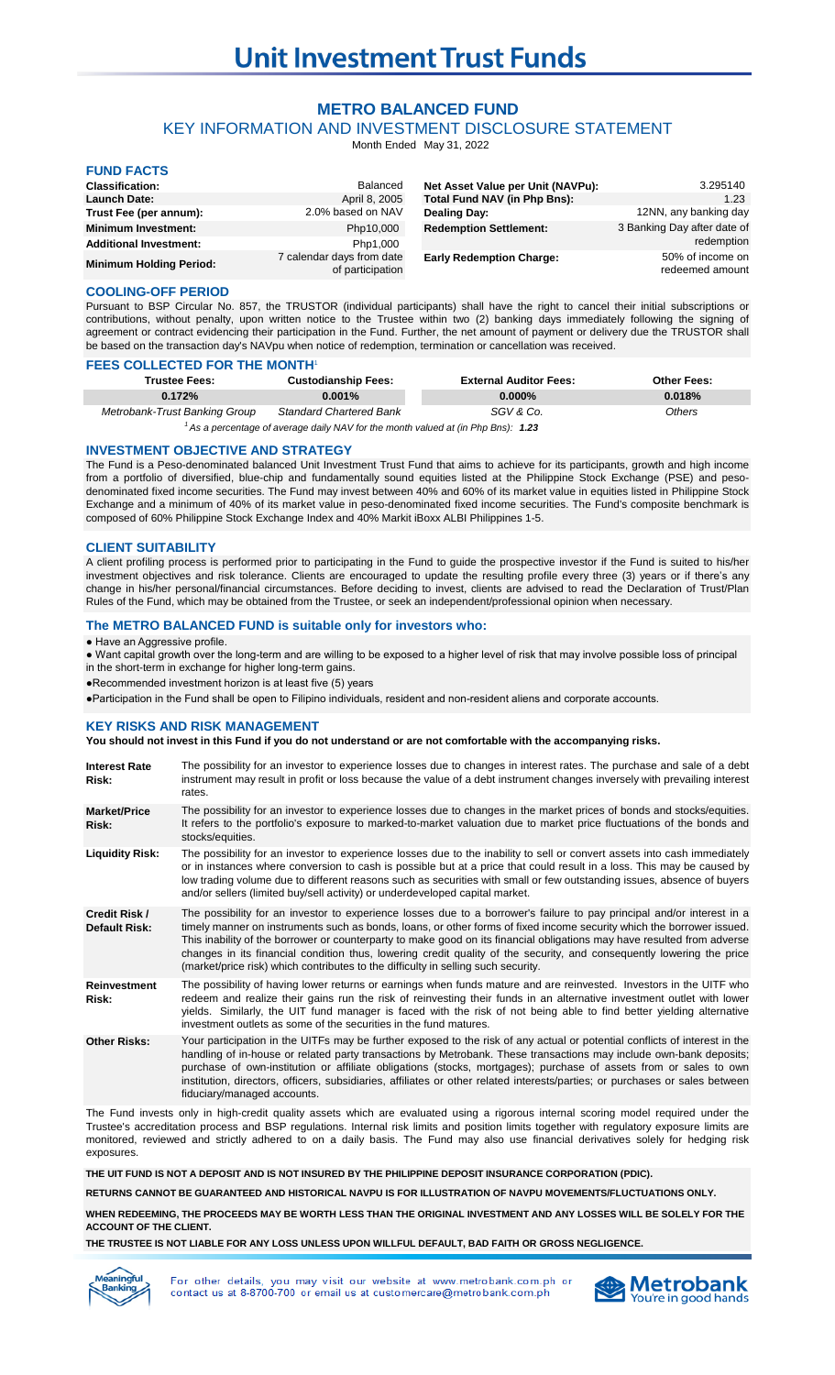# **METRO BALANCED FUND**

KEY INFORMATION AND INVESTMENT DISCLOSURE STATEMENT

Month Ended May 31, 2022

| <b>FUND FACTS</b>              |                                               |                                   |                                     |
|--------------------------------|-----------------------------------------------|-----------------------------------|-------------------------------------|
| <b>Classification:</b>         | Balanced                                      | Net Asset Value per Unit (NAVPu): | 3.295140                            |
| <b>Launch Date:</b>            | April 8, 2005                                 | Total Fund NAV (in Php Bns):      | 1.23                                |
| Trust Fee (per annum):         | 2.0% based on NAV                             | <b>Dealing Day:</b>               | 12NN, any banking day               |
| <b>Minimum Investment:</b>     | Php10,000                                     | <b>Redemption Settlement:</b>     | 3 Banking Day after date of         |
| <b>Additional Investment:</b>  | Php1,000                                      |                                   | redemption                          |
| <b>Minimum Holding Period:</b> | 7 calendar days from date<br>of participation | <b>Early Redemption Charge:</b>   | 50% of income on<br>redeemed amount |

## **COOLING-OFF PERIOD**

Pursuant to BSP Circular No. 857, the TRUSTOR (individual participants) shall have the right to cancel their initial subscriptions or contributions, without penalty, upon written notice to the Trustee within two (2) banking days immediately following the signing of agreement or contract evidencing their participation in the Fund. Further, the net amount of payment or delivery due the TRUSTOR shall be based on the transaction day's NAVpu when notice of redemption, termination or cancellation was received.

### **FEES COLLECTED FOR THE MONTH**

| <b>Trustee Fees:</b>          | <b>Custodianship Fees:</b>     | <b>External Auditor Fees:</b> | <b>Other Fees:</b> |
|-------------------------------|--------------------------------|-------------------------------|--------------------|
| 0.172%                        | $0.001\%$                      | $0.000\%$                     | 0.018%             |
| Metrobank-Trust Banking Group | <b>Standard Chartered Bank</b> | SGV & Co.                     | Others             |

<sup>1</sup> As a percentage of average daily NAV for the month valued at (in Php Bns): **1.23** 

### **INVESTMENT OBJECTIVE AND STRATEGY**

The Fund is a Peso-denominated balanced Unit Investment Trust Fund that aims to achieve for its participants, growth and high income from a portfolio of diversified, blue-chip and fundamentally sound equities listed at the Philippine Stock Exchange (PSE) and pesodenominated fixed income securities. The Fund may invest between 40% and 60% of its market value in equities listed in Philippine Stock Exchange and a minimum of 40% of its market value in peso-denominated fixed income securities. The Fund's composite benchmark is composed of 60% Philippine Stock Exchange Index and 40% Markit iBoxx ALBI Philippines 1-5.

## **CLIENT SUITABILITY**

A client profiling process is performed prior to participating in the Fund to guide the prospective investor if the Fund is suited to his/her investment objectives and risk tolerance. Clients are encouraged to update the resulting profile every three (3) years or if there's any change in his/her personal/financial circumstances. Before deciding to invest, clients are advised to read the Declaration of Trust/Plan Rules of the Fund, which may be obtained from the Trustee, or seek an independent/professional opinion when necessary.

## **The METRO BALANCED FUND is suitable only for investors who:**

• Have an Aggressive profile.

● Want capital growth over the long-term and are willing to be exposed to a higher level of risk that may involve possible loss of principal in the short-term in exchange for higher long-term gains.

●Recommended investment horizon is at least five (5) years

●Participation in the Fund shall be open to Filipino individuals, resident and non-resident aliens and corporate accounts.

## **KEY RISKS AND RISK MANAGEMENT**

### **You should not invest in this Fund if you do not understand or are not comfortable with the accompanying risks.**

| <b>Interest Rate</b><br>Risk:         | The possibility for an investor to experience losses due to changes in interest rates. The purchase and sale of a debt<br>instrument may result in profit or loss because the value of a debt instrument changes inversely with prevailing interest<br>rates.                                                                                                                                                                                                                                                                                                                            |
|---------------------------------------|------------------------------------------------------------------------------------------------------------------------------------------------------------------------------------------------------------------------------------------------------------------------------------------------------------------------------------------------------------------------------------------------------------------------------------------------------------------------------------------------------------------------------------------------------------------------------------------|
| <b>Market/Price</b><br>Risk:          | The possibility for an investor to experience losses due to changes in the market prices of bonds and stocks/equities.<br>It refers to the portfolio's exposure to marked-to-market valuation due to market price fluctuations of the bonds and<br>stocks/equities.                                                                                                                                                                                                                                                                                                                      |
| <b>Liquidity Risk:</b>                | The possibility for an investor to experience losses due to the inability to sell or convert assets into cash immediately<br>or in instances where conversion to cash is possible but at a price that could result in a loss. This may be caused by<br>low trading volume due to different reasons such as securities with small or few outstanding issues, absence of buyers<br>and/or sellers (limited buy/sell activity) or underdeveloped capital market.                                                                                                                            |
| Credit Risk /<br><b>Default Risk:</b> | The possibility for an investor to experience losses due to a borrower's failure to pay principal and/or interest in a<br>timely manner on instruments such as bonds, loans, or other forms of fixed income security which the borrower issued.<br>This inability of the borrower or counterparty to make good on its financial obligations may have resulted from adverse<br>changes in its financial condition thus, lowering credit quality of the security, and consequently lowering the price<br>(market/price risk) which contributes to the difficulty in selling such security. |
| <b>Reinvestment</b><br>Risk:          | The possibility of having lower returns or earnings when funds mature and are reinvested. Investors in the UITF who<br>redeem and realize their gains run the risk of reinvesting their funds in an alternative investment outlet with lower<br>yields. Similarly, the UIT fund manager is faced with the risk of not being able to find better yielding alternative<br>investment outlets as some of the securities in the fund matures.                                                                                                                                                |
| <b>Other Risks:</b>                   | Your participation in the UITFs may be further exposed to the risk of any actual or potential conflicts of interest in the<br>handling of in-house or related party transactions by Metrobank. These transactions may include own-bank deposits;<br>purchase of own-institution or affiliate obligations (stocks, mortgages); purchase of assets from or sales to own<br>institution, directors, officers, subsidiaries, affiliates or other related interests/parties; or purchases or sales between<br>fiduciary/managed accounts.                                                     |

The Fund invests only in high-credit quality assets which are evaluated using a rigorous internal scoring model required under the Trustee's accreditation process and BSP regulations. Internal risk limits and position limits together with regulatory exposure limits are monitored, reviewed and strictly adhered to on a daily basis. The Fund may also use financial derivatives solely for hedging risk exposures.

**THE UIT FUND IS NOT A DEPOSIT AND IS NOT INSURED BY THE PHILIPPINE DEPOSIT INSURANCE CORPORATION (PDIC).**

**RETURNS CANNOT BE GUARANTEED AND HISTORICAL NAVPU IS FOR ILLUSTRATION OF NAVPU MOVEMENTS/FLUCTUATIONS ONLY.**

**WHEN REDEEMING, THE PROCEEDS MAY BE WORTH LESS THAN THE ORIGINAL INVESTMENT AND ANY LOSSES WILL BE SOLELY FOR THE ACCOUNT OF THE CLIENT.**

**THE TRUSTEE IS NOT LIABLE FOR ANY LOSS UNLESS UPON WILLFUL DEFAULT, BAD FAITH OR GROSS NEGLIGENCE.**



For other details you may visit our website at www.metrobank.com.ph or contact us at 8-8700-700 or email us at customercare@metrobank.com.ph

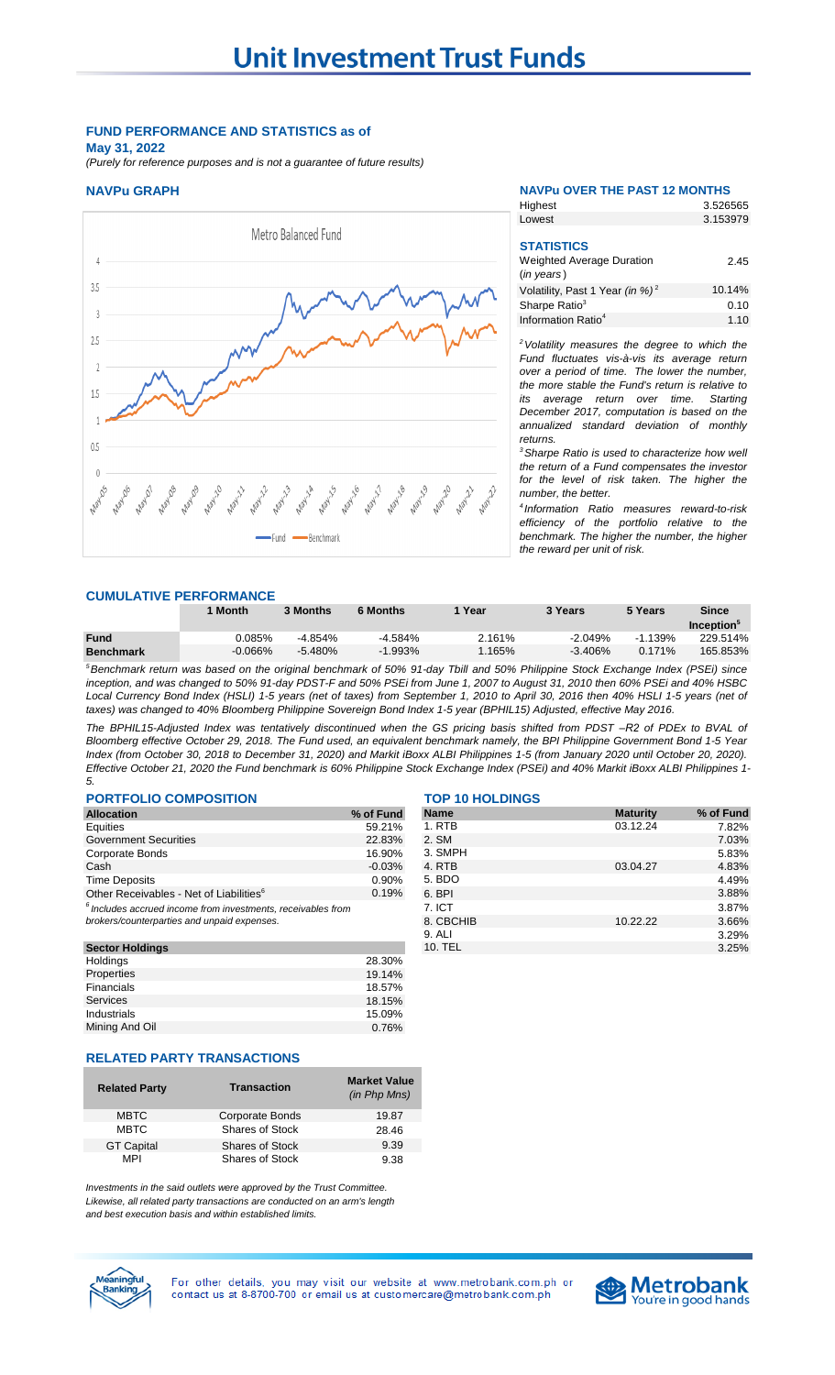## **FUND PERFORMANCE AND STATISTICS as of May 31, 2022**

*(Purely for reference purposes and is not a guarantee of future results)*



### **NAVPu GRAPH NAVPu OVER THE PAST 12 MONTHS** 3.526565

Highest Lowest

| --------                                                                      | <u>.</u> |
|-------------------------------------------------------------------------------|----------|
| <b>STATISTICS</b><br><b>Weighted Average Duration</b><br>$(in \text{ years})$ | 2.45     |
| Volatility, Past 1 Year (in %) <sup>2</sup>                                   | 10.14%   |
| Sharpe Ratio <sup>3</sup>                                                     | 0.10     |
| Information Ratio <sup>4</sup>                                                | 1.10     |

3.153979

*<sup>2</sup>Volatility measures the degree to which the Fund fluctuates vis-à-vis its average return over a period of time. The lower the number, the more stable the Fund's return is relative to its average return over time. Starting December 2017, computation is based on the annualized standard deviation of monthly returns.* 

*<sup>3</sup>Sharpe Ratio is used to characterize how well the return of a Fund compensates the investor for the level of risk taken. The higher the number, the better.*

*4 Information Ratio measures reward-to-risk efficiency of the portfolio relative to the benchmark. The higher the number, the higher the reward per unit of risk.*

### **CUMULATIVE PERFORMANCE**

|                  | 1 Month   | 3 Months  | 6 Months  | Year   | 3 Years   | 5 Years   | Since            |
|------------------|-----------|-----------|-----------|--------|-----------|-----------|------------------|
|                  |           |           |           |        |           |           | <b>Inception</b> |
| <b>Fund</b>      | 0.085%    | $-4.854%$ | $-4.584%$ | 2.161% | $-2.049%$ | $-1.139%$ | 229.514%         |
| <b>Benchmark</b> | $-0.066%$ | $-5.480%$ | -1.993%   | .165%  | $-3.406%$ | $0.171\%$ | 165.853%         |

<sup>5</sup>Benchmark return was based on the original benchmark of 50% 91-day Tbill and 50% Philippine Stock Exchange Index (PSEi) since inception, and was changed to 50% 91-day PDST-F and 50% PSEi from June 1, 2007 to August 31, 2010 then 60% PSEi and 40% HSBC Local Currency Bond Index (HSLI) 1-5 years (net of taxes) from September 1, 2010 to April 30, 2016 then 40% HSLI 1-5 years (net of *taxes) was changed to 40% Bloomberg Philippine Sovereign Bond Index 1-5 year (BPHIL15) Adjusted, effective May 2016.*

The BPHIL15-Adjusted Index was tentatively discontinued when the GS pricing basis shifted from PDST-R2 of PDEx to BVAL of Bloomberg effective October 29, 2018. The Fund used, an equivalent benchmark namely, the BPI Philippine Government Bond 1-5 Year Index (from October 30, 2018 to December 31, 2020) and Markit iBoxx ALBI Philippines 1-5 (from January 2020 until October 20, 2020). Effective October 21, 2020 the Fund benchmark is 60% Philippine Stock Exchange Index (PSEi) and 40% Markit iBoxx ALBI Philippines 1-*5.*

## **PORTFOLIO COMPOSITION TOP 10 HOLDINGS**

| <b>Allocation</b>                                                                                             | % of Fund |
|---------------------------------------------------------------------------------------------------------------|-----------|
| Equities                                                                                                      | 59.21%    |
| <b>Government Securities</b>                                                                                  | 22.83%    |
| <b>Corporate Bonds</b>                                                                                        | 16.90%    |
| Cash                                                                                                          | $-0.03%$  |
| <b>Time Deposits</b>                                                                                          | 0.90%     |
| Other Receivables - Net of Liabilities <sup>6</sup>                                                           | 0.19%     |
| $6$ Includes accrued income from investments, receivables from<br>brokers/counterparties and unpaid expenses. |           |

| <b>Sector Holdings</b> |        |
|------------------------|--------|
| Holdings               | 28.30% |
| Properties             | 19.14% |
| Financials             | 18.57% |
| <b>Services</b>        | 18.15% |
| Industrials            | 15.09% |
| Mining And Oil         | 0.76%  |
|                        |        |

| <b>Allocation</b>                                               | % of Fund | <b>Name</b> | <b>Maturity</b> |
|-----------------------------------------------------------------|-----------|-------------|-----------------|
| Equities                                                        | 59.21%    | 1. RTB      | 03.12.24        |
| <b>Government Securities</b>                                    | 22.83%    | 2. SM       |                 |
| Corporate Bonds                                                 | 16.90%    | 3. SMPH     |                 |
| Cash                                                            | $-0.03%$  | 4. RTB      | 03.04.27        |
| <b>Time Deposits</b>                                            | $0.90\%$  | 5. BDO      |                 |
| Other Receivables - Net of Liabilities <sup>6</sup>             | 0.19%     | 6. BPI      |                 |
| $^6$ Includes accrued income from investments, receivables from |           | 7. ICT      |                 |
| brokers/counterparties and unpaid expenses.                     |           | 8. CBCHIB   | 10.22.22        |
|                                                                 |           | 9. ALI      |                 |
| <b>Sector Holdings</b>                                          |           | 10. TEL     |                 |
|                                                                 |           |             |                 |

### **RELATED PARTY TRANSACTIONS**

| <b>Related Party</b> | <b>Transaction</b>     | <b>Market Value</b><br>(in Php Mns) |
|----------------------|------------------------|-------------------------------------|
| <b>MBTC</b>          | Corporate Bonds        | 19.87                               |
| <b>MBTC</b>          | Shares of Stock        | 28.46                               |
| <b>GT Capital</b>    | <b>Shares of Stock</b> | 9.39                                |
| MPI                  | Shares of Stock        | 9.38                                |

*Investments in the said outlets were approved by the Trust Committee. Likewise, all related party transactions are conducted on an arm's length and best execution basis and within established limits.*



For other details, you may visit our website at www.metrobank.com.ph or contact us at 8-8700-700 or email us at customercare@metrobank.com.ph